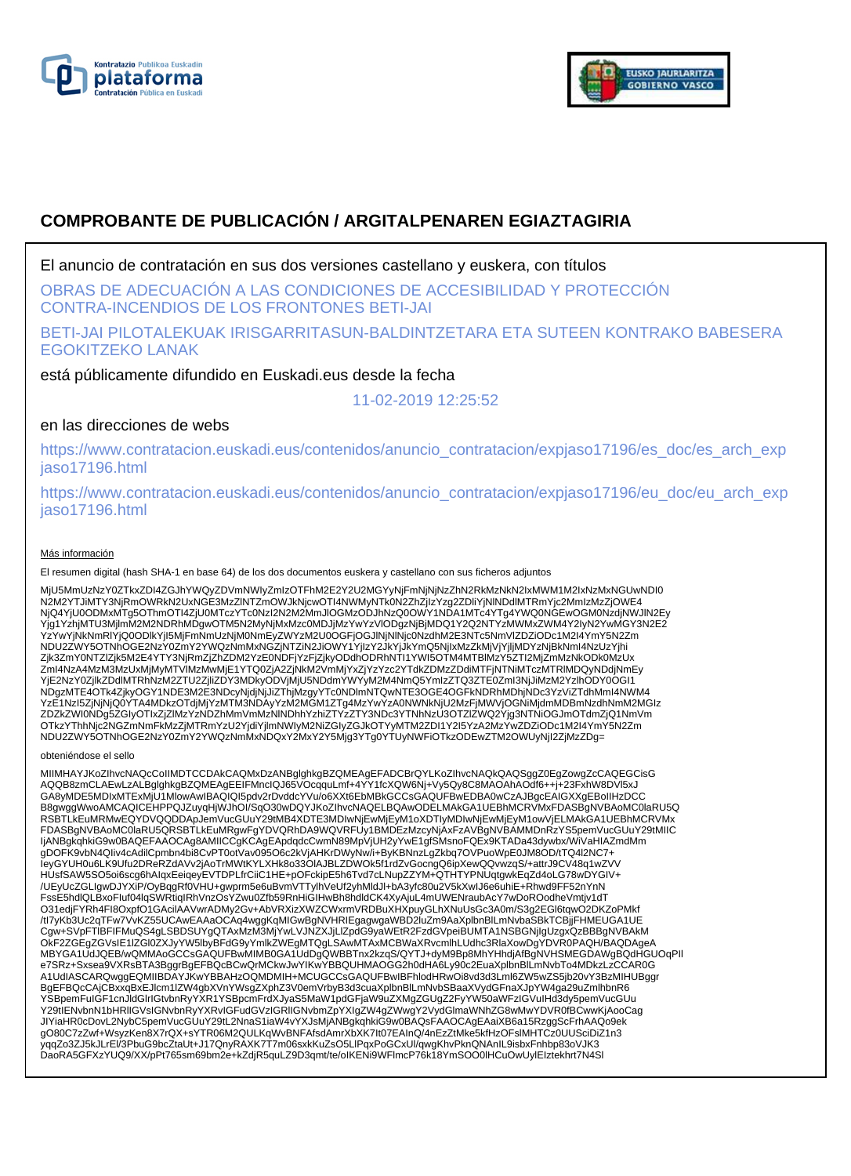



# **COMPROBANTE DE PUBLICACIÓN / ARGITALPENAREN EGIAZTAGIRIA**

El anuncio de contratación en sus dos versiones castellano y euskera, con títulos

OBRAS DE ADECUACIÓN A LAS CONDICIONES DE ACCESIBILIDAD Y PROTECCIÓN CONTRA-INCENDIOS DE LOS FRONTONES BETI-JAI

BETI-JAI PILOTALEKUAK IRISGARRITASUN-BALDINTZETARA ETA SUTEEN KONTRAKO BABESERA EGOKITZEKO LANAK

está públicamente difundido en Euskadi.eus desde la fecha

11-02-2019 12:25:52

## en las direcciones de webs

https://www.contratacion.euskadi.eus/contenidos/anuncio\_contratacion/expjaso17196/es\_doc/es\_arch\_exp jaso17196.html

https://www.contratacion.euskadi.eus/contenidos/anuncio\_contratacion/expjaso17196/eu\_doc/eu\_arch\_exp jaso17196.html

### Más información

El resumen digital (hash SHA-1 en base 64) de los dos documentos euskera y castellano con sus ficheros adjuntos

MjU5MmUzNzY0ZTkxZDI4ZGJhYWQyZDVmNWIyZmIzOTFhM2E2Y2U2MGYyNjFmNjNjNzZhN2RkMzNkN2IxMWM1M2IxNzMxNGUwNDI0 N2M2YTJiMTY3NjRmOWRkN2UxNGE3MzZINTZmOWJkNjcwOTI4NWMyNTk0N2ZhZjIzYzg2ZDiiYjNINDdlMTRmYjc2MmIzMzZjOWE4<br>NjQ4YjU0ODMxMTg5OThmOTI4ZjU0MTczYTc0NzI2N2M2MmJIOGMzODJhNzQ0OWY1NDA1MTc4YTg4YWQ0NGEwOGM0NzdjNWJIN2Ey<br>Yjg1YzhjMTU3MjImM2M2 YzYwYjNkNmRlYjQ0ODlkYjI5MjFmNmUzNjM0NmEyZWYzM2U0OGFjOGJlNjNlNjc0NzdhM2E3NTc5NmVlZDZiODc1M2I4YmY5N2Zm NDU2ZWY5OTNhOGE2NzY0ZmY2YWQzNmMxNGZjNTZiN2JiOWY1YjIzY2JkYjJkYmQ5NjIxMzZkMjVjYjljMDYzNjBkNmI4NzUzYjhi Zjk3ZmY0NTZIZjk5M2E4YTY3NjRmZjZhZDM2YzE0NDFjYzFjZjkyODdhODRhNTI1YWI5OTM4MTBIMzY5ZTI2MjZmMzNkODk0MzUx<br>ZmI4NzA4MzM3MzUxMjMyMTVIMzMwMjE1YTQ0ZjA2ZjNkM2VmMjYxZjYzYzc2YTdkZDMzZDdiMTFjNTNiMTczMTRIMDQyNDdjNmEy YjE2NzY0ZjlkZDdlMTRhNzM2ZTU2ZjliZDY3MDkyODVjMjU5NDdmYWYyM2M4NmQ5YmIzZTQ3ZTE0ZmI3NjJiMzM2YzlhODY0OGI1 NDgzMTE4OTk4ZjkyOGY1NDE3M2E3NDcyNjdjNjJiZThjMzgyYTc0NDlmNTQwNTE3OGE4OGFkNDRhMDhjNDc3YzViZTdhMmI4NWM4 YzE1Nzl5ZjNjNjQ0YTA4MDkzOTdjMjYzMTM3NDAyYzM2MGM1ZTg4MzYwYzA0NWNkNjU2MzFjMWVjOGNiMjdmMDBmNzdhNmM2MGIz<br>ZDZkZWI0NDg5ZGIyOTIxZjZlMzYzNDZhMmVmMzNlNDhhYzhiZTYzZTY3NDc3YTNhNzU3OTZlZWQ2Yjg3NTNiOGJmOTdmZjQ1NmVm OTkzYThhNjc2NGZmNmFkMzZjMTRmYzU2YjdiYjlmNWIyM2NiZGIyZGJkOTYyMTM2ZDI1Y2I5YzA2MzYwZDZiODc1M2I4YmY5N2Zm NDU2ZWY5OTNhOGE2NzY0ZmY2YWQzNmMxNDQxY2MxY2Y5Mjg3YTg0YTUyNWFiOTkzODEwZTM2OWUyNjI2ZjMzZDg=

#### obteniéndose el sello

MIIMHAYJKoZIhvcNAQcCoIIMDTCCDAkCAQMxDzANBglghkgBZQMEAgEFADCBrQYLKoZIhvcNAQkQAQSggZ0EgZowgZcCAQEGCisG AQQB8zmCLAEwLzALBglghkgBZQMEAgEEIFMncIQJ65VOcqquLmf+4YY1fcXQW6Nj+Vy5Qy8C8MAOAhAOdf6++j+23FxhW8DVl5xJ GA8yMDE5MDIxMTExMjU1MlowAwIBAQIQI5pdv2rDvddcYVu/o6XXt6EbMBkGCCsGAQUFBwEDBA0wCzAJBgcEAIGXXgEBoIIHzDCC B8gwggWwoAMCAQICEHPPQJZuyqHjWJhOI/SqO30wDQYJKoZIhvcNAQELBQAwODELMAkGA1UEBhMCRVMxFDASBgNVBAoMC0laRU5Q RSBTLkEuMRMwEQYDVQQDDApJemVucGUuY29tMB4XDTE3MDIwNjEwMjEyM1oXDTIyMDIwNjEwMjEyM1owVjELMAkGA1UEBhMCRVMx FDASBgNVBAoMC0laRU5QRSBTLkEuMRgwFgYDVQRhDA9WQVRFUy1BMDEzMzcyNjAxFzAVBgNVBAMMDnRzYS5pemVucGUuY29tMIIC<br>IjANBgkqhkiG9w0BAQEFAAOCAg8AMIICCgKCAgEApdqdcCwmN89MpVjUH2yYwE1gfSMsnoFQEx9KTADa43dywbx/WiVaHIAZmdMm gDOFK9vbN4QIiv4cAdilCpmbn4bi8CvPT0otVav095O6c2kVjAHKrDWyNw/i+ByKBNnzLgZkbq7OVPuoWpE0JM8OD/tTQ4l2NC7+<br>IeyGYUH0u6LK9Ufu2DReRZdAVv2jAoTrMWtKYLXHk8o33OIAJBLZDWOk5f1rdZvGocngQ6ipXewQQvwzqS/+attrJ9CV48q1wZVV HUsfSAW5SO5oi6scg6hAIqxEeiqeyEVTDPLfrCiiC1HE+pOFckipE5h6Tvd7cLNupZZYM+QTHTYPNUqtgwkEqZd4oLG78wDYGIV+ /UEyUcZGLIgwDJYXiP/OyBqgRf0VHU+gwprm5e6uBvmVTTylhVeUf2yhMldJl+bA3yfc80u2V5kXwIJ6e6uhiE+Rhwd9FF52nYnN FssE5hdlQLBxoFIuf04lqSWRtiqIRhVnzOsYZwu0Zfb59RnHiGIHwBh8hdldCK4XyAjuL4mUWENraubAcY7wDoROodheVmtjv1dT O31edjFYRh4FI8OxpfO1GAcilAAVwrADMy2Gv+AbVRXizXWZCWxrmVRDBuXHXpuyGLhXNuUsGc3A0m/S3g2EGl6tqwO2DKZoPMkf /tl7yKb3Uc2qTFw7VvKZ55UCAwEAAaOCAq4wggKqMlGwBgNVHRIEgagwgaWBD2luZm9AaXplbnBlLmNvbaSBkTCBjjFHMEUGA1UE<br>Cgw+SVpFTlBFIFMuQS4gLSBDSUYgQTAxMzM3MjYwLVJNZXJjLlZpdG9yaWEtR2FzdGVpeiBUMTA1NSBGNjlgUzgxQzBBBgNVBAkM<br>OkF2ZGEgZGVsIE1IZGl0 e7SRz+Sxsea9VXRsBTA3BggrBgEFBQcBCwQrMCkwJwYIKwYBBQUHMAOGG2h0dHA6Ly90c2EuaXplbnBlLmNvbTo4MDkzLzCCAR0G A1UdIASCARQwggEQMIIBDAYJKwYBBAHzOQMDMIH+MCUGCCsGAQUFBwIBFhlodHRwOi8vd3d3Lml6ZW5wZS5jb20vY3BzMIHUBggr BgEFBQcCAjCBxxqBxEJlcm1lZW4gbXVnYWsgZXphZ3V0emVrbyB3d3cuaXplbnBlLmNvbSBaaXVydGFnaXJpYW4ga29uZmlhbnR6 YSBpemFuIGF1cnJldGlrIGtvbnRyYXR1YSBpcmFrdXJyaS5MaW1pdGFjaW9uZXMgZGUgZ2FyYW50aWFzIGVuIHd3dy5pemVucGUu Y29tIENvbnN1bHRlIGVsIGNvbnRyYXRvIGFudGVzIGRlIGNvbmZpYXIgZW4gZWwgY2VydGlmaWNhZG8wMwYDVR0fBCwwKjAooCag JIYiaHR0cDovL2NybC5pemVucGUuY29tL2NnaS1iaW4vYXJsMjANBgkqhkiG9w0BAQsFAAOCAgEAaiXB6a15RzggScFrhAAQo9ek gO80C7zZwf+WsyzKen8X7rQX+sYTR06M2QULKqWvBNFAfsdAmrXbXK7It07EAInQ/4nEzZtMke5kfHzOFslMHTCz0UUSciDiZ1n3 yqqZo3ZJ5kJLrEl/3PbuG9bcZtaUt+J17QnyRAXK7T7m06sxkKuZsO5LlPqxPoGCxUl/qwgKhvPknQNAnIL9isbxFnhbp83oVJK3 DaoRA5GFXzYUQ9/XX/pPt765sm69bm2e+kZdjR5quLZ9D3qmt/te/oIKENi9WFlmcP76k18YmSOO0lHCuOwUylEIztekhrt7N4Sl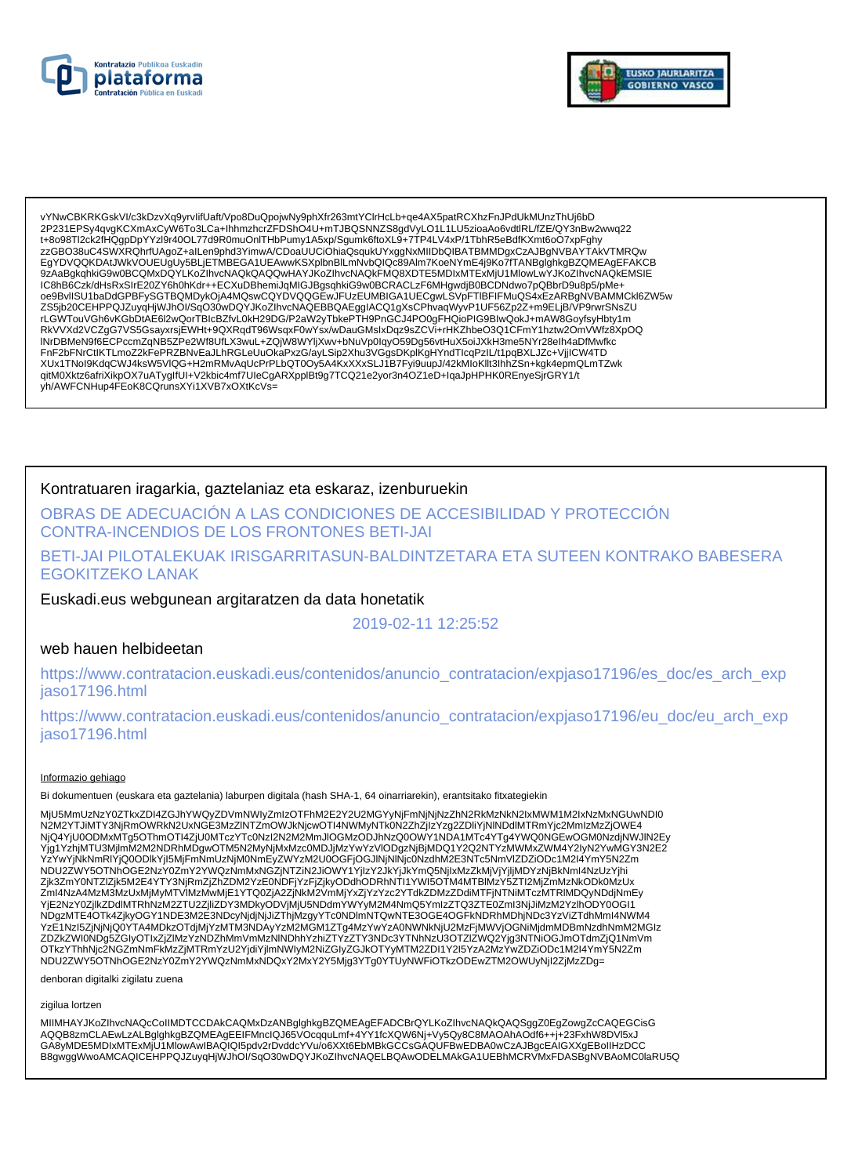



vYNwCBKRKGskVI/c3kDzvXq9yrvIifUaft/Vpo8DuQpojwNy9phXfr263mtYCIrHcLb+qe4AX5patRCXhzFnJPdUkMUnzThUj6bD<br>2P231EPSy4qvgKCXmAxCyW6To3LCa+IhhmzhcrZFDShO4U+mTJBQSNNZS8gdVyLO1L1LU5zioaAo6vdtlRL/fZE/QY3nBw2wwq22 t+8o98Tl2ck2fHQgpDpYYzI9r40OL77d9R0muOnITHbPumy1A5xp/Sgumk6ftoXL9+7TP4LV4xP/1TbhR5eBdfKXmt6oO7xpFghy zzGBO38uC4SWXRQhrfUAgoZ+alLen9phd3YimwA/CDoaUUCiOhiaQsqukUYxggNxMIIDbQIBATBMMDgxCzAJBgNVBAYTAkVTMRQw EgYDVQQKDAtJWkVOUEUgUy5BLjETMBEGA1UEAwwKSXplbnBlLmNvbQlQc89Alm7KoeNYmE4j9Ko7fTANBglghkgBZQMEAgEFAKCB 9zAaBgkqhkiG9w0BCQMxDQYLKoZIhvcNAQkQAQQwHAYJKoZIhvcNAQkFMQ8XDTE5MDIxMTExMjU1MlowLwYJKoZIhvcNAQkEMSIE IC8hB6Czk/dHsRxSIrE20ZY6h0hKdr++ECXuDBhemiJqMIGJBgsqhkiG9w0BCRACLzF6MHgwdjB0BCDNdwo7pQBbrD9u8p5/pMe+<br>oe9BvIISU1baDdGPBFySGTBQMDykOjA4MQswCQYDVQQGEwJFUzEUMBIGA1UECgwLSVpFTIBFIFMuQS4xEzARBgNVBAMMCkl6ZW5w RkVVXd2VCZgG7VS5GsayxrsjEWHt+9QXRqdT96WsqxF0wYsx/wDauGMslxDqz9sZCVi+rHKZhbeO3Q1CFmY1hztw2OmVWfz8XpOQ INrDBMeN9f6ECPccmZqNB5ZPe2Wf8UfLX3wuL+ZQjW8WYIjXwv+bNuVp0lqyO59Dg56vtHuX5oiJXkH3me5NYr28eIh4aDfMwfkc FnF2bFNrCtlKTLmoZ2kFePRZBNvEaJLhRGLeUuOkaPxzG/ayLSip2Xhu3VGgsDKplKgHYndTlcqPzlL/t1pqBXLJZc+VjjlCW4TD XUx1TNoI9KdqCWJ4ksW5VlQG+H2mRMvAqUcPrPLbQT0Oy5A4KxXXxSLJ1B7Fyi9uupJ/42kMloKllt3lhhZSn+kgk4epmQLmTZwk qitM0Xktz6afriXikpOX7uATygIfUI+V2kbic4mf7UIeCgARXpplBt9g7TCQ21e2yor3n4OZ1eD+IqaJpHPHK0REnyeSjrGRY1/t yh/AWFCNHup4FEoK8CQrunsXYi1XVB7xOXtKcVs=

### Kontratuaren iragarkia, gaztelaniaz eta eskaraz, izenburuekin

OBRAS DE ADECUACIÓN A LAS CONDICIONES DE ACCESIBILIDAD Y PROTECCIÓN CONTRA-INCENDIOS DE LOS FRONTONES BETI-JAI

BETI-JAI PILOTALEKUAK IRISGARRITASUN-BALDINTZETARA ETA SUTEEN KONTRAKO BABESERA **EGOKITZEKO LANAK** 

Euskadi.eus webgunean argitaratzen da data honetatik

2019-02-11 12:25:52

## web hauen helbideetan

https://www.contratacion.euskadi.eus/contenidos/anuncio\_contratacion/expjaso17196/es\_doc/es\_arch\_exp jaso17196.html

https://www.contratacion.euskadi.eus/contenidos/anuncio\_contratacion/expjaso17196/eu\_doc/eu\_arch\_exp iaso17196.html

#### Informazio gehiago

Bi dokumentuen (euskara eta gaztelania) laburpen digitala (hash SHA-1, 64 oinarriarekin), erantsitako fitxategiekin

MjU5MmUzNzY0ZTkxZDI4ZGJhYWQyZDVmNWIyZmIzOTFhM2E2Y2U2MGYyNjFmNjNjNzZhN2RkMzNkN2IxMWM1M2IxNzMxNGUwNDI0 N2M2YTJiMTY3NjRmOWRkN2UxNGÉ3MzZINTZmOWJkNjcwOTI4NWMyNTk0N2ZhZjIzYzg2ZDliYjNlNDdlMTRmYjc2MmIzMzZjOWE4<br>NjQ4YjU0ODMxMTg5OThmOTI4ZjU0MTczYTc0NzI2N2MzMmJlOGMzODJhNzQ0OWY1NDA1MTc4YTg4YWQ0NGEwOGM0NzdjNWJlN2Ey wyser i pooblinia gyo minio i rzypomiecz i romania występujący wyzystanczonym mienia występujący w mienia podz<br>Yg1YzhjMTU3MjImM2M2NDRhMDgwOTM5N2MyNjMxMzc0MDJjM2YwYzVlODgzNjBjMDQ1Y2Q2NTYzMWMxZWM4Y2IyN2YwMGY3N2E2<br>YzYwYjNkNmR NDU2ZWY5OTNnOGE2NzY0ZmY2YWQzNmMxNGZjNTZiN2JiOWY1YjIzY2JkYjJkYmQ5NjIxMzZkMjVjYjIjMDYzNjBkNml4NzUzYjhi Zjk3ZmY0NTZIZjk5M2E4YTY3NjRmZjZhZDM2YzE0NDFjYzFjZjkyODdhODRhNTI1YWI5OTM4MTBIMzY5ZTI2MjZmMzNkODk0MzUx Zml4NzA4MzM3MzUxMjMyMTVIMzMwMjE1YTQ0ZjA2ZjNkM2VmMjYxZjYzYzc2YTdkZDMzZDdiMTFjNTNiMTczMTRIMDQyNDdjNmEy YjE2NzY0ZjIkZDdlMTRhNzM2ZTU2ZjIiZDY3MDkyODVjMjU5NDdmYWYyM2M4NmQ5YmIzZTQ3ZTE0ZmI3NjJiMzM2YzlhODY0OGI1 NDgzMTE4OTk4ZjkyOGY1NDE3M2E3NDcyNjdjNjJiZThjMzgyYTc0NDlmNTQwNTE3OGE4OGFkNDRhMDhjNDc3YzViZTdhMml4NWM4<br>YzE1Nzl5ZjNjNjQ0YTA4MDkzOTdjMjYzMTM3NDAyYzM2MGM1ZTg4MzYwYzA0NWNkNjU2MzFjMWVjOGNiMjdmMDBmNzdhNmM2MGlz ZDZkZWI0NDg5ZGIyOTIxZjZIMzYzNDZhMmVmMzNINDhhYzhiZTYzZTY3NDc3YTNhNzU3OTZIZWQ2Yjg3NTNiOGJmOTdmZjQ1NmVm OTkzYThhNic2NGZmNmFkMzZjMTRmYzU2YjdlYjlmNWlyM2NiZGlyZGJkOTYyMTM2ZDI1Y2I5YzA2MzYwZDZiODc1M2I4YmY5N2Zm NDU2ZWY5OTNhOGE2NzY0ZmY2YWQzNmMxNDQxY2MxY2Y5Mjg3YTg0YTUyNWFiOTkzODEwZTM2OWUyNjI2ZjMzZDg=

denboran digitalki zigilatu zuena

zigilua lortzen

MIIMHAYJKoZIhvcNAQcCoIIMDTCCDAkCAQMxDzANBglghkgBZQMEAgEFADCBrQYLKoZIhvcNAQkQAQSggZ0EgZowgZcCAQEGCisG AQQB8zmCLAEwLzALBglghkgBZQMEAgEEIFMnclQJ65VOcqquLmf+4YY1fcXQW6Nj+Vy5Qy8C8MAOAhAOdf6++j+23FxhW8DVl5xJ GA8yMDE5MDIxMTExMjU1MlowAwIBAQIQI5pdv2rDvddcYVu/o6XXt6EbMBkGCCsGAQUFBwEDBA0wCzAJBgcEAIGXXgEBoIIHzDCC B8gwggWwoAMCAQICEHPPQJZuyqHjWJhOI/SqO30wDQYJKoZIhvcNAQELBQAwODELMAkGA1UEBhMCRVMxFDASBgNVBAoMC0laRU5Q